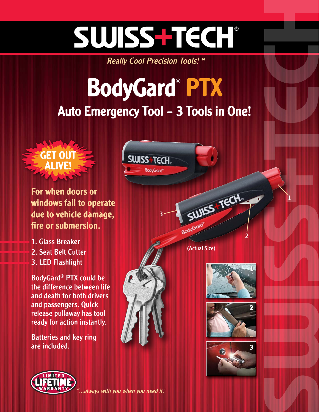# SWISS-TECH

Really Cool Precision Tools!<sup>™</sup>

## Auto Emergency Tool – 3 Tools in One! BodyGard® PTX

**SWISS TECH** 

**BoduGard** 

3



For when doors or windows fail to operate due to vehicle damage, fire or submersion.

- 1. Glass Breaker
- 2. Seat Belt Cutter
- 3. LED Flashlight

BodyGard® PTX could be the difference between life and death for both drivers and passengers. Quick release pullaway has tool ready for action instantly.

Batteries and key ring are included.

(Actual Size)

BodyGord

SUISS TECH



2

1







always with you when you need it."